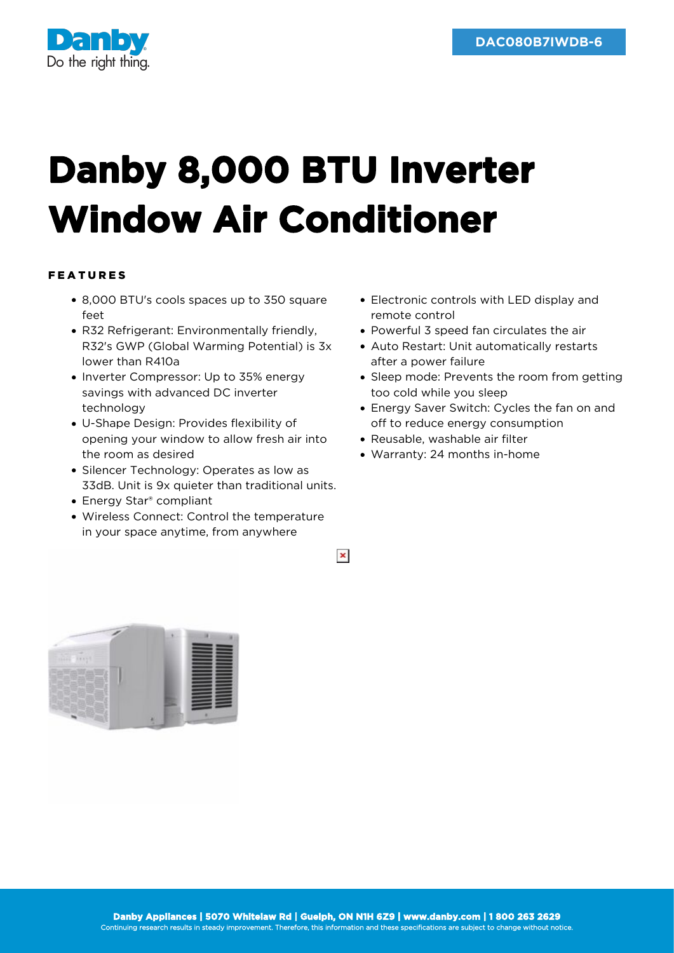

## **Danby 8,000 BTU Inverter Window Air Conditioner**

## FEATURES

- 8,000 BTU's cools spaces up to 350 square feet
- R32 Refrigerant: Environmentally friendly, R32's GWP (Global Warming Potential) is 3x lower than R410a
- Inverter Compressor: Up to 35% energy savings with advanced DC inverter technology
- U-Shape Design: Provides flexibility of opening your window to allow fresh air into the room as desired
- Silencer Technology: Operates as low as 33dB. Unit is 9x quieter than traditional units.
- Energy Star® compliant
- Wireless Connect: Control the temperature in your space anytime, from anywhere
- Electronic controls with LED display and remote control
- Powerful 3 speed fan circulates the air
- Auto Restart: Unit automatically restarts after a power failure
- Sleep mode: Prevents the room from getting too cold while you sleep
- Energy Saver Switch: Cycles the fan on and off to reduce energy consumption
- Reusable, washable air filter
- Warranty: 24 months in-home



 $\pmb{\times}$